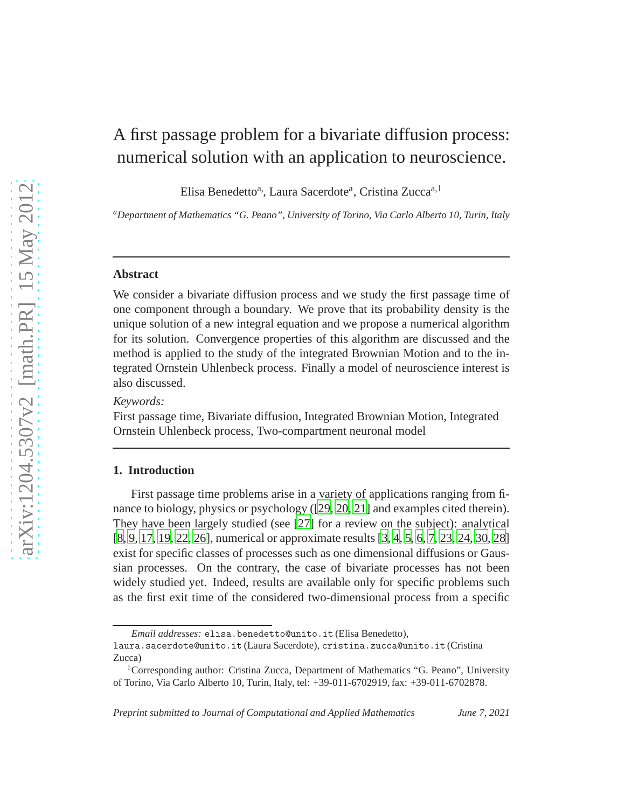# A first passage problem for a bivariate diffusion process: numerical solution with an application to neuroscience.

Elisa Benedetto<sup>a,</sup>, Laura Sacerdote<sup>a</sup>, Cristina Zucca<sup>a, 1</sup>

*<sup>a</sup>Department of Mathematics "G. Peano", University of Torino, Via Carlo Alberto 10, Turin, Italy*

#### **Abstract**

We consider a bivariate diffusion process and we study the first passage time of one component through a boundary. We prove that its probability density is the unique solution of a new integral equation and we propose a numerical algorithm for its solution. Convergence properties of this algorithm are discussed and the method is applied to the study of the integrated Brownian Motion and to the integrated Ornstein Uhlenbeck process. Finally a model of neuroscience interest is also discussed.

## *Keywords:*

First passage time, Bivariate diffusion, Integrated Brownian Motion, Integrated Ornstein Uhlenbeck process, Two-compartment neuronal model

## **1. Introduction**

First passage time problems arise in a variety of applications ranging from finance to biology, physics or psychology ([\[29,](#page-22-0) [20](#page-21-0), [21](#page-21-1)] and examples cited therein). They have been largely studied (see [\[27\]](#page-21-2) for a review on the subject): analytical [\[8,](#page-20-0) [9](#page-20-1), [17,](#page-20-2) [19](#page-21-3), [22,](#page-21-4) [26\]](#page-21-5), numerical or approximate results [\[3](#page-19-0), [4](#page-19-1), [5,](#page-19-2) [6](#page-20-3), [7,](#page-20-4) [23](#page-21-6), [24,](#page-21-7) [30,](#page-22-1) [28](#page-21-8)] exist for specific classes of processes such as one dimensional diffusions or Gaussian processes. On the contrary, the case of bivariate processes has not been widely studied yet. Indeed, results are available only for specific problems such as the first exit time of the considered two-dimensional process from a specific

*Email addresses:* elisa.benedetto@unito.it (Elisa Benedetto),

laura.sacerdote@unito.it (Laura Sacerdote), cristina.zucca@unito.it (Cristina Zucca)

<sup>&</sup>lt;sup>1</sup>Corresponding author: Cristina Zucca, Department of Mathematics "G. Peano", University of Torino, Via Carlo Alberto 10, Turin, Italy, tel: +39-011-6702919, fax: +39-011-6702878.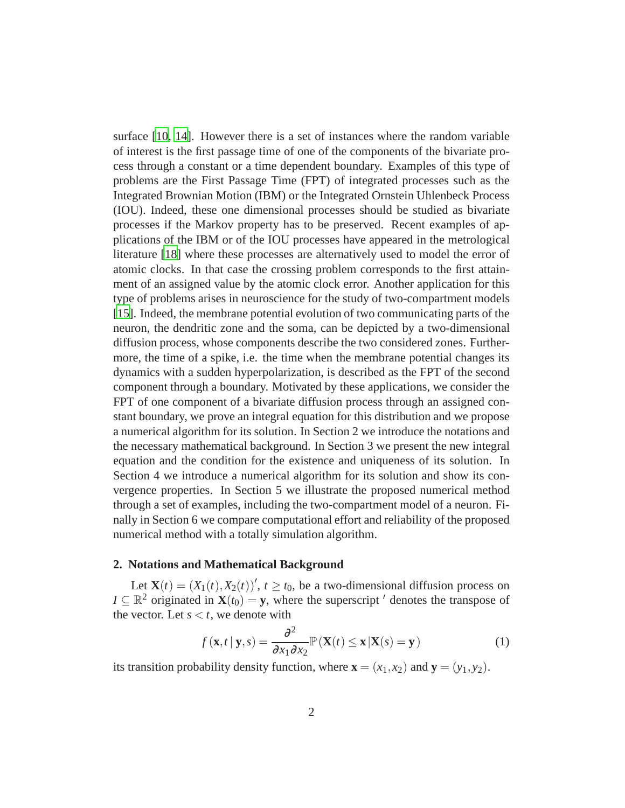surface [\[10,](#page-20-5) [14\]](#page-20-6). However there is a set of instances where the random variable of interest is the first passage time of one of the components of the bivariate process through a constant or a time dependent boundary. Examples of this type of problems are the First Passage Time (FPT) of integrated processes such as the Integrated Brownian Motion (IBM) or the Integrated Ornstein Uhlenbeck Process (IOU). Indeed, these one dimensional processes should be studied as bivariate processes if the Markov property has to be preserved. Recent examples of applications of the IBM or of the IOU processes have appeared in the metrological literature [\[18\]](#page-21-9) where these processes are alternatively used to model the error of atomic clocks. In that case the crossing problem corresponds to the first attainment of an assigned value by the atomic clock error. Another application for this type of problems arises in neuroscience for the study of two-compartment models [\[15\]](#page-20-7). Indeed, the membrane potential evolution of two communicating parts of the neuron, the dendritic zone and the soma, can be depicted by a two-dimensional diffusion process, whose components describe the two considered zones. Furthermore, the time of a spike, i.e. the time when the membrane potential changes its dynamics with a sudden hyperpolarization, is described as the FPT of the second component through a boundary. Motivated by these applications, we consider the FPT of one component of a bivariate diffusion process through an assigned constant boundary, we prove an integral equation for this distribution and we propose a numerical algorithm for its solution. In Section 2 we introduce the notations and the necessary mathematical background. In Section 3 we present the new integral equation and the condition for the existence and uniqueness of its solution. In Section 4 we introduce a numerical algorithm for its solution and show its convergence properties. In Section 5 we illustrate the proposed numerical method through a set of examples, including the two-compartment model of a neuron. Finally in Section 6 we compare computational effort and reliability of the proposed numerical method with a totally simulation algorithm.

#### **2. Notations and Mathematical Background**

Let  $\mathbf{X}(t) = (X_1(t), X_2(t))'$ ,  $t \ge t_0$ , be a two-dimensional diffusion process on *I*  $\subseteq \mathbb{R}^2$  originated in  $\mathbf{X}(t_0) = \mathbf{y}$ , where the superscript  $\prime$  denotes the transpose of the vector. Let  $s < t$ , we denote with

<span id="page-1-0"></span>
$$
f(\mathbf{x},t\,|\,\mathbf{y},s) = \frac{\partial^2}{\partial x_1 \partial x_2} \mathbb{P}\left(\mathbf{X}(t) \le \mathbf{x}\,|\mathbf{X}(s) = \mathbf{y}\right) \tag{1}
$$

its transition probability density function, where  $\mathbf{x} = (x_1, x_2)$  and  $\mathbf{y} = (y_1, y_2)$ .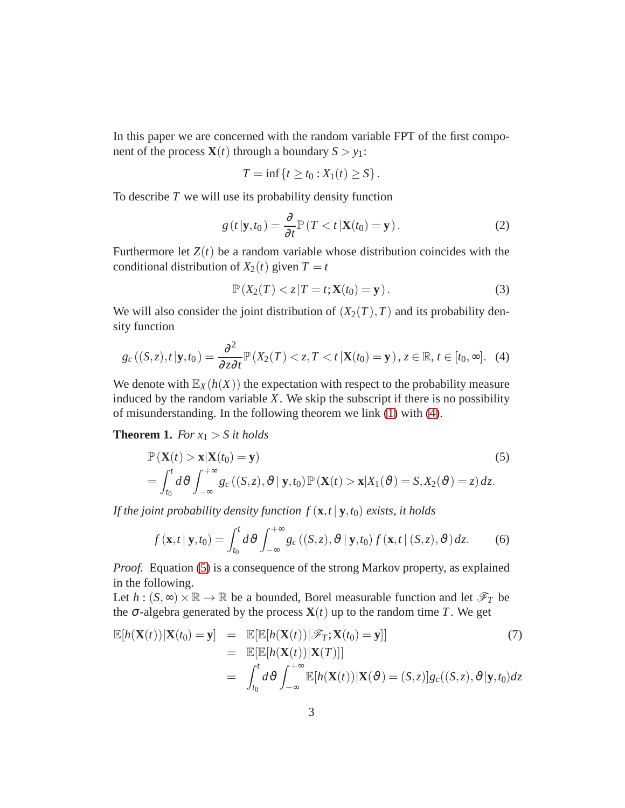In this paper we are concerned with the random variable FPT of the first component of the process  $\mathbf{X}(t)$  through a boundary  $S > y_1$ :

$$
T = \inf \{ t \ge t_0 : X_1(t) \ge S \}.
$$

To describe *T* we will use its probability density function

$$
g(t|\mathbf{y},t_0) = \frac{\partial}{\partial t} \mathbb{P}\left(T < t|\mathbf{X}(t_0) = \mathbf{y}\right). \tag{2}
$$

Furthermore let  $Z(t)$  be a random variable whose distribution coincides with the conditional distribution of  $X_2(t)$  given  $T = t$ 

<span id="page-2-3"></span>
$$
\mathbb{P}\left(X_2(T) < z \middle| T = t; \mathbf{X}(t_0) = \mathbf{y}\right). \tag{3}
$$

We will also consider the joint distribution of  $(X_2(T), T)$  and its probability density function

<span id="page-2-0"></span>
$$
g_c((S,z),t\,|\mathbf{y},t_0)=\frac{\partial^2}{\partial z\partial t}\mathbb{P}\left(X_2(T)
$$

We denote with  $\mathbb{E}_X(h(X))$  the expectation with respect to the probability measure induced by the random variable  $X$ . We skip the subscript if there is no possibility of misunderstanding. In the following theorem we link [\(1\)](#page-1-0) with [\(4\)](#page-2-0).

**Theorem 1.** *For*  $x_1 > S$  *it holds* 

<span id="page-2-1"></span>
$$
\mathbb{P}\left(\mathbf{X}(t) > \mathbf{x} | \mathbf{X}(t_0) = \mathbf{y}\right) \tag{5}
$$
\n
$$
= \int_{t_0}^t d\vartheta \int_{-\infty}^{+\infty} g_c\left(\left(S, z\right), \vartheta \mid \mathbf{y}, t_0\right) \mathbb{P}\left(\mathbf{X}(t) > \mathbf{x} | X_1(\vartheta) = S, X_2(\vartheta) = z\right) dz.
$$

*If the joint probability density function*  $f(\mathbf{x}, t | \mathbf{y}, t_0)$  *exists, it holds* 

<span id="page-2-2"></span>
$$
f(\mathbf{x},t\,|\,\mathbf{y},t_0) = \int_{t_0}^t d\vartheta \int_{-\infty}^{+\infty} g_c\left((S,z),\vartheta\,|\,\mathbf{y},t_0\right) f\left(\mathbf{x},t\,|\,(S,z),\vartheta\right) dz. \tag{6}
$$

*Proof.* Equation [\(5\)](#page-2-1) is a consequence of the strong Markov property, as explained in the following.

Let  $h : (S, \infty) \times \mathbb{R} \to \mathbb{R}$  be a bounded, Borel measurable function and let  $\mathscr{F}_T$  be the  $\sigma$ -algebra generated by the process  $\mathbf{X}(t)$  up to the random time *T*. We get

$$
\mathbb{E}[h(\mathbf{X}(t))|\mathbf{X}(t_0) = \mathbf{y}] = \mathbb{E}[\mathbb{E}[h(\mathbf{X}(t))|\mathscr{F}_T; \mathbf{X}(t_0) = \mathbf{y}]]
$$
(7)  
\n
$$
= \mathbb{E}[\mathbb{E}[h(\mathbf{X}(t))|\mathbf{X}(T)]]
$$
  
\n
$$
= \int_{t_0}^t d\vartheta \int_{-\infty}^{+\infty} \mathbb{E}[h(\mathbf{X}(t))|\mathbf{X}(\vartheta) = (S,z)]g_c((S,z),\vartheta|\mathbf{y},t_0)dz
$$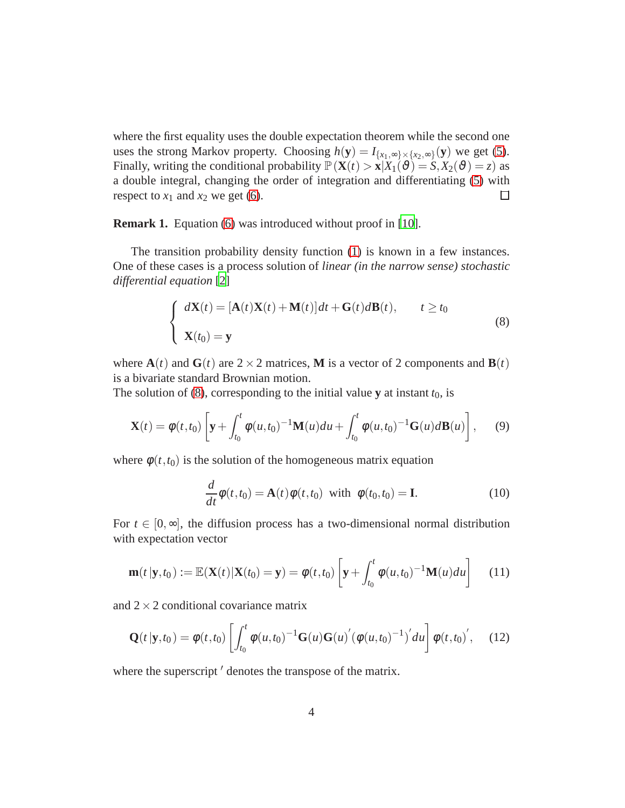where the first equality uses the double expectation theorem while the second one uses the strong Markov property. Choosing  $h(\mathbf{y}) = I_{\{x_1, \infty\} \times \{x_2, \infty\}}(\mathbf{y})$  we get [\(5\)](#page-2-1). Finally, writing the conditional probability  $\mathbb{P}(\mathbf{X}(t) > \mathbf{x} | X_1(\vartheta) = S, X_2(\vartheta) = z)$  as a double integral, changing the order of integration and differentiating [\(5\)](#page-2-1) with respect to  $x_1$  and  $x_2$  we get [\(6\)](#page-2-2).  $\Box$ 

**Remark 1.** Equation [\(6\)](#page-2-2) was introduced without proof in [\[10\]](#page-20-5).

The transition probability density function [\(1\)](#page-1-0) is known in a few instances. One of these cases is a process solution of *linear (in the narrow sense) stochastic differential equation* [\[2](#page-19-3)]

<span id="page-3-0"></span>
$$
\begin{cases}\n d\mathbf{X}(t) = [\mathbf{A}(t)\mathbf{X}(t) + \mathbf{M}(t)]dt + \mathbf{G}(t)d\mathbf{B}(t), & t \ge t_0 \\
\mathbf{X}(t_0) = \mathbf{y}\n\end{cases}
$$
\n(8)

where  $A(t)$  and  $G(t)$  are  $2 \times 2$  matrices, **M** is a vector of 2 components and  $B(t)$ is a bivariate standard Brownian motion.

The solution of [\(8\)](#page-3-0), corresponding to the initial value **y** at instant  $t_0$ , is

$$
\mathbf{X}(t) = \phi(t, t_0) \left[ \mathbf{y} + \int_{t_0}^t \phi(u, t_0)^{-1} \mathbf{M}(u) du + \int_{t_0}^t \phi(u, t_0)^{-1} \mathbf{G}(u) d\mathbf{B}(u) \right], \quad (9)
$$

where  $\phi(t, t_0)$  is the solution of the homogeneous matrix equation

$$
\frac{d}{dt}\phi(t,t_0) = \mathbf{A}(t)\phi(t,t_0) \text{ with } \phi(t_0,t_0) = \mathbf{I}.\tag{10}
$$

For  $t \in [0, \infty]$ , the diffusion process has a two-dimensional normal distribution with expectation vector

<span id="page-3-1"></span>
$$
\mathbf{m}(t|\mathbf{y},t_0) := \mathbb{E}(\mathbf{X}(t)|\mathbf{X}(t_0) = \mathbf{y}) = \phi(t,t_0) \left[\mathbf{y} + \int_{t_0}^t \phi(u,t_0)^{-1} \mathbf{M}(u) du\right] \quad (11)
$$

and  $2 \times 2$  conditional covariance matrix

<span id="page-3-2"></span>
$$
\mathbf{Q}(t|\mathbf{y},t_0) = \phi(t,t_0) \left[ \int_{t_0}^t \phi(u,t_0)^{-1} \mathbf{G}(u) \mathbf{G}(u)' (\phi(u,t_0)^{-1})' du \right] \phi(t,t_0)', \quad (12)
$$

where the superscript  $\prime$  denotes the transpose of the matrix.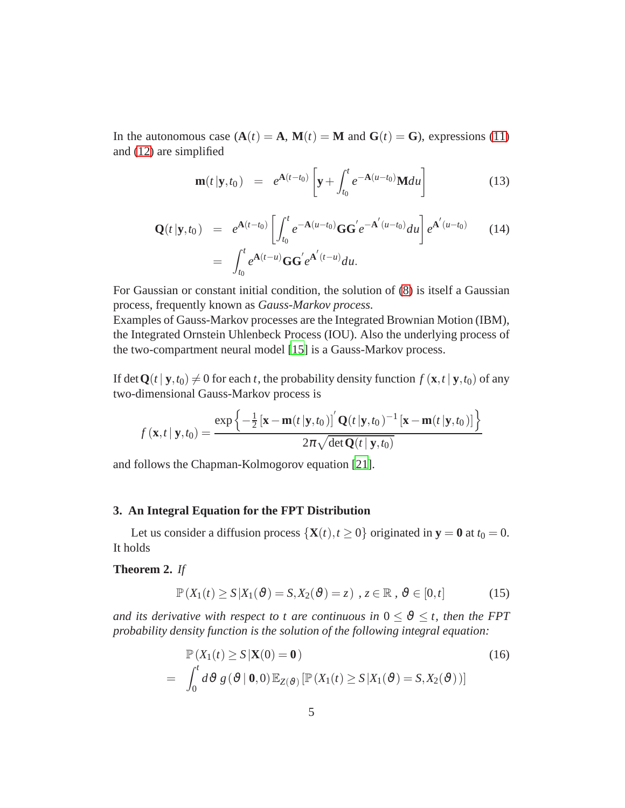In the autonomous case  $(A(t) = A, M(t) = M$  and  $G(t) = G$ , expressions [\(11\)](#page-3-1) and [\(12\)](#page-3-2) are simplified

<span id="page-4-4"></span>
$$
\mathbf{m}(t|\mathbf{y},t_0) = e^{\mathbf{A}(t-t_0)} \left[ \mathbf{y} + \int_{t_0}^t e^{-\mathbf{A}(u-t_0)} \mathbf{M} du \right]
$$
(13)

<span id="page-4-3"></span>
$$
\mathbf{Q}(t|\mathbf{y},t_0) = e^{\mathbf{A}(t-t_0)} \left[ \int_{t_0}^t e^{-\mathbf{A}(u-t_0)} \mathbf{G} \mathbf{G}' e^{-\mathbf{A}'(u-t_0)} du \right] e^{\mathbf{A}'(u-t_0)} \qquad (14)
$$

$$
= \int_{t_0}^t e^{\mathbf{A}(t-u)} \mathbf{G} \mathbf{G}' e^{\mathbf{A}'(t-u)} du.
$$

For Gaussian or constant initial condition, the solution of [\(8\)](#page-3-0) is itself a Gaussian process, frequently known as *Gauss-Markov process.*

Examples of Gauss-Markov processes are the Integrated Brownian Motion (IBM), the Integrated Ornstein Uhlenbeck Process (IOU). Also the underlying process of the two-compartment neural model [\[15\]](#page-20-7) is a Gauss-Markov process.

If det  $Q(t | y, t_0) \neq 0$  for each *t*, the probability density function  $f(\mathbf{x}, t | y, t_0)$  of any two-dimensional Gauss-Markov process is

$$
f(\mathbf{x},t\,|\,\mathbf{y},t_0) = \frac{\exp\left\{-\frac{1}{2}\left[\mathbf{x}-\mathbf{m}(t\,|\mathbf{y},t_0)\right]'\mathbf{Q}(t\,|\mathbf{y},t_0)^{-1}\left[\mathbf{x}-\mathbf{m}(t\,|\mathbf{y},t_0)\right]\right\}}{2\pi\sqrt{\det\mathbf{Q}(t\,|\,\mathbf{y},t_0)}}
$$

and follows the Chapman-Kolmogorov equation [\[21\]](#page-21-1).

## **3. An Integral Equation for the FPT Distribution**

Let us consider a diffusion process  $\{X(t), t \ge 0\}$  originated in  $y = 0$  at  $t_0 = 0$ . It holds

## <span id="page-4-2"></span>**Theorem 2.** *If*

<span id="page-4-1"></span>
$$
\mathbb{P}\left(X_1(t) \ge S | X_1(\vartheta) = S, X_2(\vartheta) = z\right), z \in \mathbb{R}, \vartheta \in [0, t]
$$
 (15)

*and its derivative with respect to t are continuous in*  $0 \le \vartheta \le t$ , then the FPT *probability density function is the solution of the following integral equation:*

<span id="page-4-0"></span>
$$
\mathbb{P}(X_1(t) \ge S | \mathbf{X}(0) = \mathbf{0})
$$
\n
$$
= \int_0^t d\vartheta g(\vartheta | \mathbf{0}, 0) \mathbb{E}_{Z(\vartheta)} [\mathbb{P}(X_1(t) \ge S | X_1(\vartheta) = S, X_2(\vartheta))]
$$
\n(16)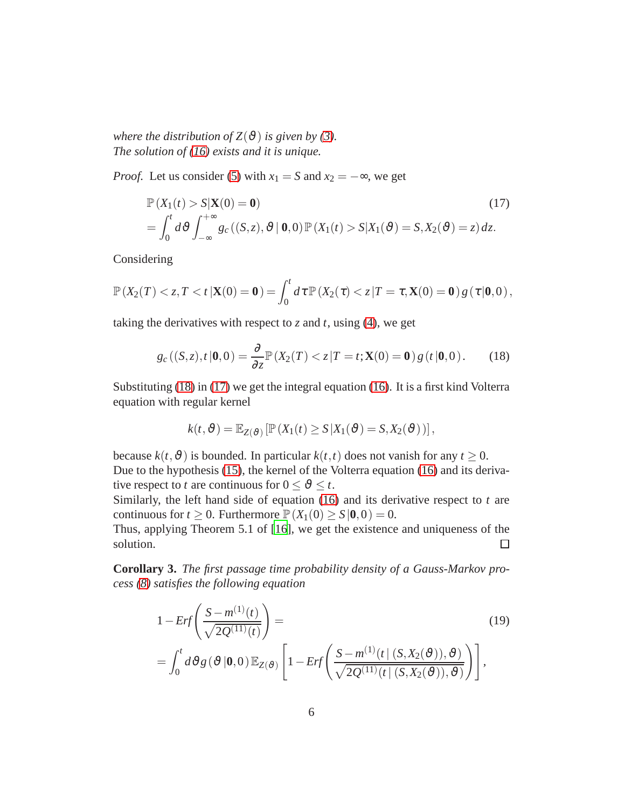*where the distribution of*  $Z(\vartheta)$  *is given by [\(3\)](#page-2-3). The solution of [\(16\)](#page-4-0) exists and it is unique.*

*Proof.* Let us consider [\(5\)](#page-2-1) with  $x_1 = S$  and  $x_2 = -\infty$ , we get

<span id="page-5-1"></span>
$$
\mathbb{P}(X_1(t) > S | \mathbf{X}(0) = \mathbf{0}) \tag{17}
$$
\n
$$
= \int_0^t d\vartheta \int_{-\infty}^{+\infty} g_c\left( (S, z), \vartheta \mid \mathbf{0}, 0 \right) \mathbb{P}\left( X_1(t) > S | X_1(\vartheta) = S, X_2(\vartheta) = z \right) dz. \tag{17}
$$

Considering

$$
\mathbb{P}\left(X_2(T) < z, T < t \,|\mathbf{X}(0) = \mathbf{0}\right) = \int_0^t d\tau \, \mathbb{P}\left(X_2(\tau) < z \,|\, T = \tau, \mathbf{X}(0) = \mathbf{0}\right) g\left(\tau \,|\, \mathbf{0}, 0\right),
$$

taking the derivatives with respect to  $z$  and  $t$ , using [\(4\)](#page-2-0), we get

<span id="page-5-0"></span>
$$
g_c((S, z), t | \mathbf{0}, 0) = \frac{\partial}{\partial z} \mathbb{P}(X_2(T) < z | T = t; \mathbf{X}(0) = \mathbf{0}) g(t | \mathbf{0}, 0). \tag{18}
$$

Substituting [\(18\)](#page-5-0) in [\(17\)](#page-5-1) we get the integral equation [\(16\)](#page-4-0). It is a first kind Volterra equation with regular kernel

$$
k(t, \vartheta) = \mathbb{E}_{Z(\vartheta)}\left[\mathbb{P}\left(X_1(t) \ge S | X_1(\vartheta) = S, X_2(\vartheta)\right)\right],
$$

because  $k(t, \vartheta)$  is bounded. In particular  $k(t, t)$  does not vanish for any  $t \ge 0$ . Due to the hypothesis [\(15\)](#page-4-1), the kernel of the Volterra equation [\(16\)](#page-4-0) and its derivative respect to *t* are continuous for  $0 \le \vartheta \le t$ .

Similarly, the left hand side of equation [\(16\)](#page-4-0) and its derivative respect to *t* are continuous for  $t \ge 0$ . Furthermore  $\mathbb{P}(X_1(0) \ge S | 0, 0) = 0$ .

Thus, applying Theorem 5.1 of [\[16\]](#page-20-8), we get the existence and uniqueness of the solution.  $\Box$ 

**Corollary 3.** *The first passage time probability density of a Gauss-Markov process [\(8\)](#page-3-0) satisfies the following equation*

<span id="page-5-2"></span>
$$
1 - Erf\left(\frac{S - m^{(1)}(t)}{\sqrt{2Q^{(11)}(t)}}\right) =
$$
\n
$$
= \int_0^t d\vartheta g\left(\vartheta \middle| \mathbf{0}, 0\right) \mathbb{E}_{Z(\vartheta)} \left[1 - Erf\left(\frac{S - m^{(1)}(t \mid (S, X_2(\vartheta)), \vartheta)}{\sqrt{2Q^{(11)}(t \mid (S, X_2(\vartheta)), \vartheta)}}\right)\right],
$$
\n(19)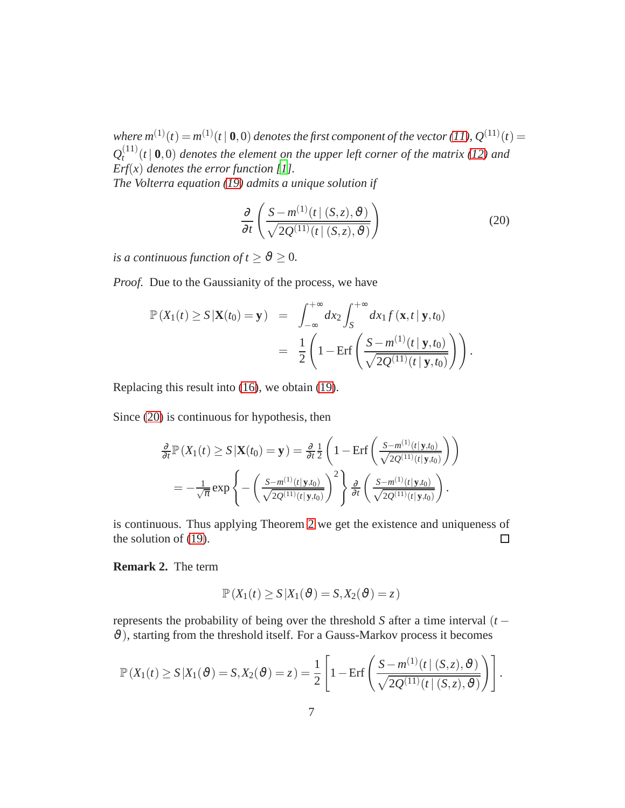*where*  $m^{(1)}(t) = m^{(1)}(t | 0, 0)$  *denotes the first component of the vector* [\(11\)](#page-3-1),  $Q^{(11)}(t) =$  $\mathcal{Q}_t^{(11)}$  $\int_{t}^{(11)}(t \mid \mathbf{0},0)$  *denotes the element on the upper left corner of the matrix (12) and Erf(x) denotes the error function [\[1](#page-19-4)]. The Volterra equation [\(19\)](#page-5-2) admits a unique solution if*

<span id="page-6-0"></span>
$$
\frac{\partial}{\partial t} \left( \frac{S - m^{(1)}(t \mid (S, z), \vartheta)}{\sqrt{2Q^{(11)}(t \mid (S, z), \vartheta)}} \right)
$$
(20)

*is a continuous function of*  $t \ge \vartheta \ge 0$ *.* 

*Proof.* Due to the Gaussianity of the process, we have

$$
\mathbb{P}(X_1(t) \geq S | \mathbf{X}(t_0) = \mathbf{y}) = \int_{-\infty}^{+\infty} dx_2 \int_{S}^{+\infty} dx_1 f(\mathbf{x}, t | \mathbf{y}, t_0)
$$

$$
= \frac{1}{2} \left( 1 - \text{Erf} \left( \frac{S - m^{(1)}(t | \mathbf{y}, t_0)}{\sqrt{2Q^{(11)}(t | \mathbf{y}, t_0)}} \right) \right).
$$

Replacing this result into [\(16\)](#page-4-0), we obtain [\(19\)](#page-5-2).

Since [\(20\)](#page-6-0) is continuous for hypothesis, then

$$
\frac{\partial}{\partial t} \mathbb{P}\left(X_1(t) \ge S \left|\mathbf{X}(t_0) = \mathbf{y}\right.\right) = \frac{\partial}{\partial t} \frac{1}{2} \left(1 - \text{Erf}\left(\frac{S - m^{(1)}(t|\mathbf{y}, t_0)}{\sqrt{2Q^{(11)}(t|\mathbf{y}, t_0)}}\right)\right)
$$
\n
$$
= -\frac{1}{\sqrt{\pi}} \exp\left\{-\left(\frac{S - m^{(1)}(t|\mathbf{y}, t_0)}{\sqrt{2Q^{(11)}(t|\mathbf{y}, t_0)}}\right)^2\right\} \frac{\partial}{\partial t} \left(\frac{S - m^{(1)}(t|\mathbf{y}, t_0)}{\sqrt{2Q^{(11)}(t|\mathbf{y}, t_0)}}\right).
$$

is continuous. Thus applying Theorem [2](#page-4-2) we get the existence and uniqueness of the solution of [\(19\)](#page-5-2).  $\Box$ 

<span id="page-6-1"></span>**Remark 2.** The term

$$
\mathbb{P}\left(X_1(t) \ge S | X_1(\vartheta) = S, X_2(\vartheta) = z\right)
$$

represents the probability of being over the threshold *S* after a time interval (*t* −  $\vartheta$ ), starting from the threshold itself. For a Gauss-Markov process it becomes

$$
\mathbb{P}(X_1(t) \geq S | X_1(\vartheta) = S, X_2(\vartheta) = z) = \frac{1}{2} \left[ 1 - \text{Erf} \left( \frac{S - m^{(1)}(t | (S, z), \vartheta)}{\sqrt{2Q^{(11)}(t | (S, z), \vartheta)}} \right) \right].
$$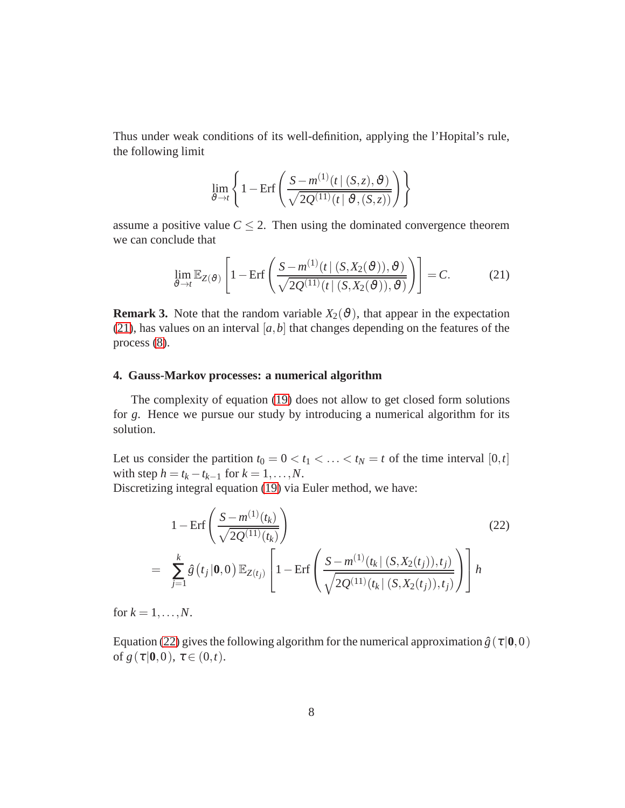Thus under weak conditions of its well-definition, applying the l'Hopital's rule, the following limit

$$
\lim_{\vartheta \to t} \left\{ 1 - \mathrm{Erf}\left( \frac{S - m^{(1)}(t \mid (S, z), \vartheta)}{\sqrt{2Q^{(11)}(t \mid \vartheta, (S, z))}} \right) \right\}
$$

assume a positive value  $C \leq 2$ . Then using the dominated convergence theorem we can conclude that

<span id="page-7-0"></span>
$$
\lim_{\vartheta \to t} \mathbb{E}_{Z(\vartheta)} \left[ 1 - \mathrm{Erf} \left( \frac{S - m^{(1)}(t \mid (S, X_2(\vartheta)), \vartheta)}{\sqrt{2Q^{(11)}(t \mid (S, X_2(\vartheta)), \vartheta)}} \right) \right] = C. \tag{21}
$$

**Remark 3.** Note that the random variable  $X_2(\theta)$ , that appear in the expectation [\(21\)](#page-7-0), has values on an interval  $[a, b]$  that changes depending on the features of the process [\(8\)](#page-3-0).

### <span id="page-7-2"></span>**4. Gauss-Markov processes: a numerical algorithm**

The complexity of equation [\(19\)](#page-5-2) does not allow to get closed form solutions for *g*. Hence we pursue our study by introducing a numerical algorithm for its solution.

Let us consider the partition  $t_0 = 0 < t_1 < \ldots < t_N = t$  of the time interval  $[0, t]$ with step  $h = t_k - t_{k-1}$  for  $k = 1, ..., N$ .

Discretizing integral equation [\(19\)](#page-5-2) via Euler method, we have:

<span id="page-7-1"></span>
$$
1 - \text{Erf}\left(\frac{S - m^{(1)}(t_k)}{\sqrt{2Q^{(11)}(t_k)}}\right)
$$
(22)  
= 
$$
\sum_{j=1}^{k} \hat{g}(t_j | \mathbf{0}, 0) \mathbb{E}_{Z(t_j)} \left[1 - \text{Erf}\left(\frac{S - m^{(1)}(t_k | (S, X_2(t_j)), t_j)}{\sqrt{2Q^{(11)}(t_k | (S, X_2(t_j)), t_j)}}\right)\right] h
$$

for  $k = 1, \ldots, N$ .

Equation [\(22\)](#page-7-1) gives the following algorithm for the numerical approximation  $\hat{g}(\tau | 0,0)$ of  $g(\tau | 0,0), \tau \in (0,t)$ .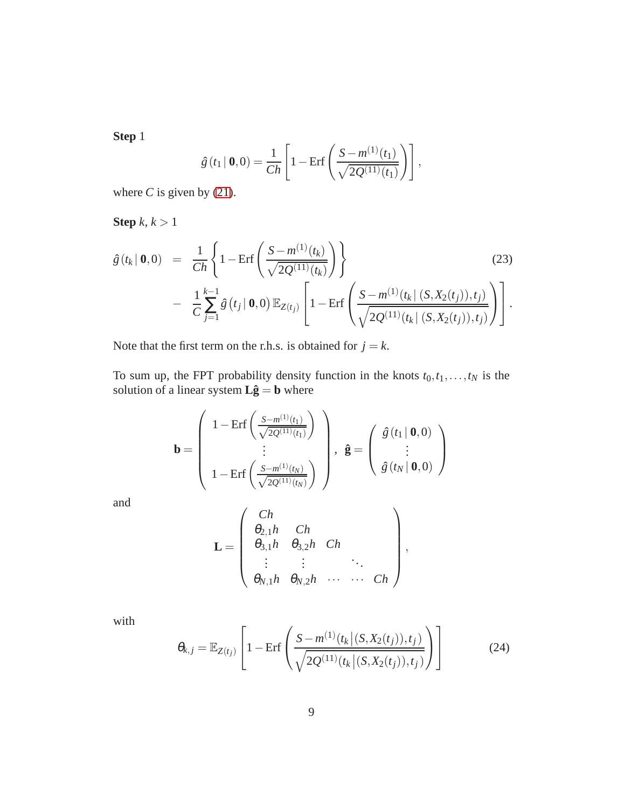**Step** 1

$$
\hat{g}(t_1 | \mathbf{0}, 0) = \frac{1}{Ch} \left[ 1 - \text{Erf} \left( \frac{S - m^{(1)}(t_1)}{\sqrt{2Q^{(11)}(t_1)}} \right) \right],
$$

where  $C$  is given by [\(21\)](#page-7-0).

**Step** *k*, *k* > 1

$$
\hat{g}(t_k | \mathbf{0}, 0) = \frac{1}{Ch} \left\{ 1 - \text{Erf} \left( \frac{S - m^{(1)}(t_k)}{\sqrt{2Q^{(11)}(t_k)}} \right) \right\}
$$
\n
$$
- \frac{1}{C} \sum_{j=1}^{k-1} \hat{g}(t_j | \mathbf{0}, 0) \mathbb{E}_{Z(t_j)} \left[ 1 - \text{Erf} \left( \frac{S - m^{(1)}(t_k | (S, X_2(t_j)), t_j)}{\sqrt{2Q^{(11)}(t_k | (S, X_2(t_j)), t_j)}} \right) \right].
$$
\n(23)

Note that the first term on the r.h.s. is obtained for  $j = k$ .

To sum up, the FPT probability density function in the knots  $t_0, t_1, \ldots, t_N$  is the solution of a linear system  $\mathbf{L}\hat{\mathbf{g}} = \mathbf{b}$  where

$$
\mathbf{b} = \left(\begin{array}{c}1 - \mathrm{Erf}\left(\frac{S - m^{(1)}(t_1)}{\sqrt{2Q^{(11)}(t_1)}}\right) \\ \vdots \\ 1 - \mathrm{Erf}\left(\frac{S - m^{(1)}(t_N)}{\sqrt{2Q^{(11)}(t_N)}}\right)\end{array}\right), \ \hat{\mathbf{g}} = \left(\begin{array}{c}\hat{g}(t_1 \mid \mathbf{0}, 0) \\ \vdots \\ \hat{g}(t_N \mid \mathbf{0}, 0)\end{array}\right)
$$

and

$$
\mathbf{L} = \left( \begin{array}{cccc} Ch \\ \theta_{2,1}h & Ch \\ \theta_{3,1}h & \theta_{3,2}h & Ch \\ \vdots & \vdots & \ddots \\ \theta_{N,1}h & \theta_{N,2}h & \cdots & Ch \end{array} \right),
$$

with

<span id="page-8-0"></span>
$$
\theta_{k,j} = \mathbb{E}_{Z(t_j)} \left[ 1 - \text{Erf} \left( \frac{S - m^{(1)}(t_k | (S, X_2(t_j)), t_j)}{\sqrt{2Q^{(11)}(t_k | (S, X_2(t_j)), t_j)}} \right) \right]
$$
(24)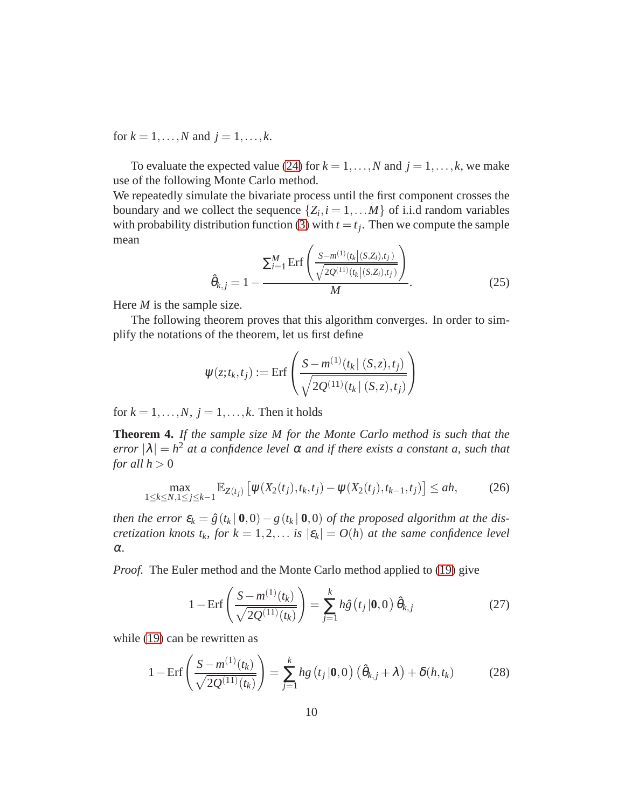for  $k = 1, ..., N$  and  $j = 1, ..., k$ .

To evaluate the expected value [\(24\)](#page-8-0) for  $k = 1, ..., N$  and  $j = 1, ..., k$ , we make use of the following Monte Carlo method.

We repeatedly simulate the bivariate process until the first component crosses the boundary and we collect the sequence  $\{Z_i, i = 1, \ldots M\}$  of i.i.d random variables with probability distribution function [\(3\)](#page-2-3) with  $t = t_j$ . Then we compute the sample mean

<span id="page-9-3"></span>
$$
\hat{\theta}_{k,j} = 1 - \frac{\sum_{i=1}^{M} \text{Erf}\left(\frac{S - m^{(1)}(t_k|(S,Z_i),t_j)}{\sqrt{2Q^{(11)}(t_k|(S,Z_i),t_j)}}\right)}{M}.
$$
\n(25)

Here *M* is the sample size.

The following theorem proves that this algorithm converges. In order to simplify the notations of the theorem, let us first define

$$
\psi(z;t_k,t_j) := \text{Erf}\left(\frac{S - m^{(1)}(t_k | (S,z), t_j)}{\sqrt{2Q^{(11)}(t_k | (S,z), t_j)}}\right)
$$

for  $k = 1, \ldots, N$ ,  $j = 1, \ldots, k$ . Then it holds

**Theorem 4.** *If the sample size M for the Monte Carlo method is such that the error*  $|\lambda| = h^2$  *at a confidence level*  $\alpha$  *and if there exists a constant a, such that for all*  $h > 0$ 

<span id="page-9-2"></span>
$$
\max_{1 \le k \le N, 1 \le j \le k-1} \mathbb{E}_{Z(t_j)} \left[ \psi(X_2(t_j), t_k, t_j) - \psi(X_2(t_j), t_{k-1}, t_j) \right] \le ah,
$$
 (26)

*then the error*  $\varepsilon_k = \hat{g}(t_k | \mathbf{0}, 0) - g(t_k | \mathbf{0}, 0)$  *of the proposed algorithm at the discretization knots*  $t_k$ ,  $for k = 1, 2, ...$  *is*  $|\varepsilon_k| = O(h)$  *at the same confidence level* α*.*

*Proof.* The Euler method and the Monte Carlo method applied to [\(19\)](#page-5-2) give

<span id="page-9-1"></span>
$$
1 - \text{Erf}\left(\frac{S - m^{(1)}(t_k)}{\sqrt{2Q^{(11)}(t_k)}}\right) = \sum_{j=1}^k h\hat{g}\left(t_j | \mathbf{0}, 0\right) \hat{\theta}_{k,j} \tag{27}
$$

while [\(19\)](#page-5-2) can be rewritten as

<span id="page-9-0"></span>
$$
1 - \text{Erf}\left(\frac{S - m^{(1)}(t_k)}{\sqrt{2Q^{(11)}(t_k)}}\right) = \sum_{j=1}^k hg(t_j | \mathbf{0}, 0) (\hat{\theta}_{k,j} + \lambda) + \delta(h, t_k)
$$
(28)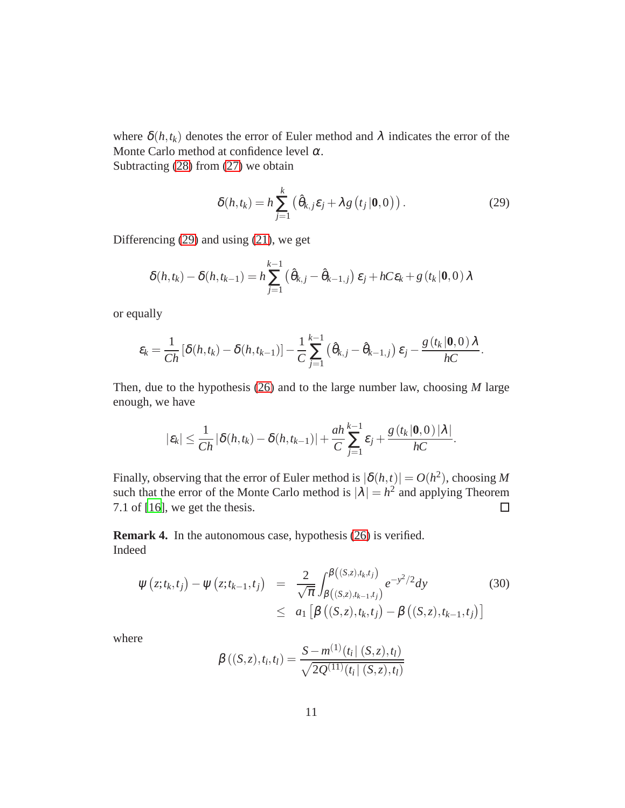where  $\delta(h, t_k)$  denotes the error of Euler method and  $\lambda$  indicates the error of the Monte Carlo method at confidence level  $\alpha$ . Subtracting [\(28\)](#page-9-0) from [\(27\)](#page-9-1) we obtain

<span id="page-10-0"></span>
$$
\delta(h,t_k) = h \sum_{j=1}^{k} \left( \hat{\theta}_{k,j} \varepsilon_j + \lambda g \left( t_j | \mathbf{0}, 0 \right) \right). \tag{29}
$$

Differencing [\(29\)](#page-10-0) and using [\(21\)](#page-7-0), we get

$$
\delta(h,t_k) - \delta(h,t_{k-1}) = h \sum_{j=1}^{k-1} (\hat{\theta}_{k,j} - \hat{\theta}_{k-1,j}) \, \varepsilon_j + hC\varepsilon_k + g(t_k | \mathbf{0}, 0) \lambda
$$

or equally

$$
\varepsilon_k = \frac{1}{Ch} \left[ \delta(h, t_k) - \delta(h, t_{k-1}) \right] - \frac{1}{C} \sum_{j=1}^{k-1} \left( \hat{\theta}_{k,j} - \hat{\theta}_{k-1,j} \right) \varepsilon_j - \frac{g(t_k | \mathbf{0}, 0) \lambda}{hC}.
$$

Then, due to the hypothesis [\(26\)](#page-9-2) and to the large number law, choosing *M* large enough, we have

$$
|\varepsilon_k|\leq \frac{1}{Ch}|\delta(h,t_k)-\delta(h,t_{k-1})|+\frac{ah}{C}\sum_{j=1}^{k-1}\varepsilon_j+\frac{g(t_k|\mathbf{0},0)|\lambda|}{hC}.
$$

Finally, observing that the error of Euler method is  $|\delta(h,t)| = O(h^2)$ , choosing M such that the error of the Monte Carlo method is  $|\lambda| = h^2$  and applying Theorem 7.1 of [\[16\]](#page-20-8), we get the thesis.  $\Box$ 

**Remark 4.** In the autonomous case, hypothesis [\(26\)](#page-9-2) is verified. Indeed

<span id="page-10-1"></span>
$$
\psi(z;t_k,t_j) - \psi(z;t_{k-1},t_j) = \frac{2}{\sqrt{\pi}} \int_{\beta((S,z),t_{k-1},t_j)}^{\beta((S,z),t_k,t_j)} e^{-y^2/2} dy \tag{30}
$$
\n
$$
\leq a_1 \left[ \beta((S,z),t_k,t_j) - \beta((S,z),t_{k-1},t_j) \right]
$$

where

$$
\beta\left((S,z),t_i,t_l\right) = \frac{S - m^{(1)}(t_i | (S,z),t_l)}{\sqrt{2Q^{(11)}(t_i | (S,z),t_l)}}
$$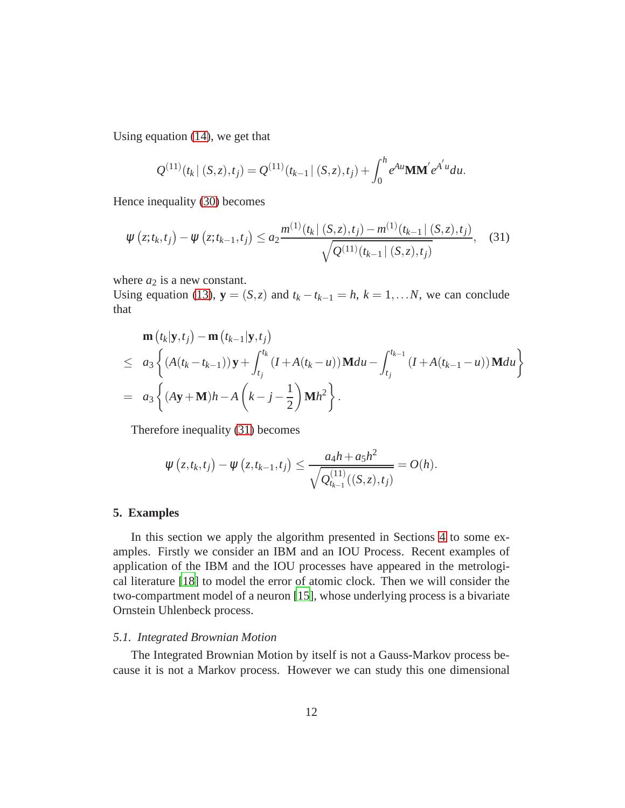Using equation [\(14\)](#page-4-3), we get that

$$
Q^{(11)}(t_k | (S, z), t_j) = Q^{(11)}(t_{k-1} | (S, z), t_j) + \int_0^h e^{Au} \mathbf{M} \mathbf{M}' e^{A'u} du.
$$

Hence inequality [\(30\)](#page-10-1) becomes

<span id="page-11-0"></span>
$$
\psi(z;t_k,t_j) - \psi(z;t_{k-1},t_j) \le a_2 \frac{m^{(1)}(t_k | (S,z),t_j) - m^{(1)}(t_{k-1} | (S,z),t_j)}{\sqrt{Q^{(11)}(t_{k-1} | (S,z),t_j)}}, \quad (31)
$$

where  $a_2$  is a new constant.

Using equation [\(13\)](#page-4-4),  $\mathbf{y} = (S, z)$  and  $t_k - t_{k-1} = h$ ,  $k = 1, \ldots, N$ , we can conclude that

$$
\mathbf{m}(t_k|\mathbf{y},t_j) - \mathbf{m}(t_{k-1}|\mathbf{y},t_j) \n\leq a_3 \left\{ (A(t_k-t_{k-1}))\mathbf{y} + \int_{t_j}^{t_k} (I + A(t_k-u))\mathbf{M} du - \int_{t_j}^{t_{k-1}} (I + A(t_{k-1}-u))\mathbf{M} du \right\} \n= a_3 \left\{ (A\mathbf{y} + \mathbf{M})h - A\left(k-j-\frac{1}{2}\right)\mathbf{M}h^2 \right\}.
$$

Therefore inequality [\(31\)](#page-11-0) becomes

$$
\psi(z,t_k,t_j) - \psi(z,t_{k-1},t_j) \le \frac{a_4h + a_5h^2}{\sqrt{Q_{t_{k-1}}^{(11)}((S,z),t_j)}} = O(h).
$$

#### **5. Examples**

In this section we apply the algorithm presented in Sections [4](#page-7-2) to some examples. Firstly we consider an IBM and an IOU Process. Recent examples of application of the IBM and the IOU processes have appeared in the metrological literature [\[18\]](#page-21-9) to model the error of atomic clock. Then we will consider the two-compartment model of a neuron [\[15](#page-20-7)], whose underlying process is a bivariate Ornstein Uhlenbeck process.

#### *5.1. Integrated Brownian Motion*

The Integrated Brownian Motion by itself is not a Gauss-Markov process because it is not a Markov process. However we can study this one dimensional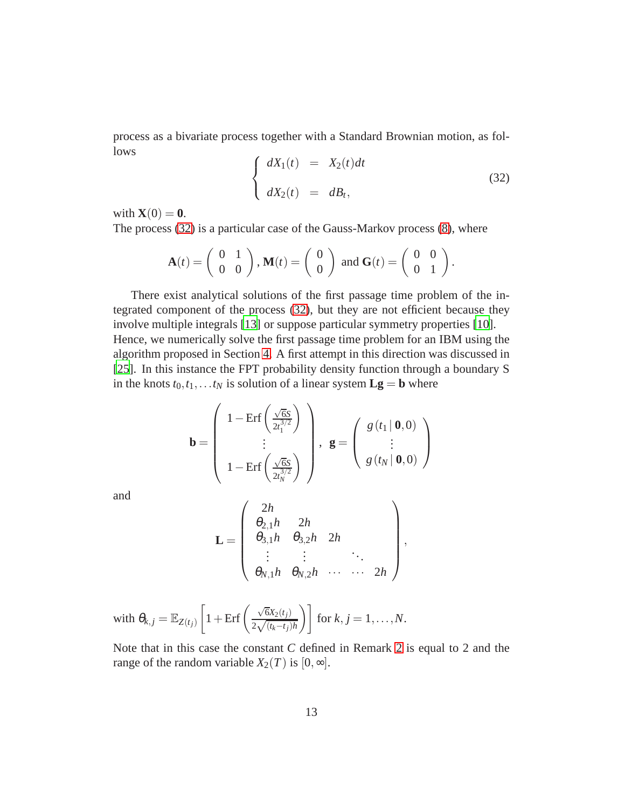process as a bivariate process together with a Standard Brownian motion, as follows

<span id="page-12-0"></span>
$$
\begin{cases}\n dX_1(t) &= X_2(t)dt \\
dX_2(t) &= dB_t,\n\end{cases}\n\tag{32}
$$

with  $\mathbf{X}(0) = \mathbf{0}$ .

The process [\(32\)](#page-12-0) is a particular case of the Gauss-Markov process [\(8\)](#page-3-0), where

$$
\mathbf{A}(t) = \left(\begin{array}{cc} 0 & 1 \\ 0 & 0 \end{array}\right), \mathbf{M}(t) = \left(\begin{array}{c} 0 \\ 0 \end{array}\right) \text{ and } \mathbf{G}(t) = \left(\begin{array}{cc} 0 & 0 \\ 0 & 1 \end{array}\right).
$$

There exist analytical solutions of the first passage time problem of the integrated component of the process [\(32\)](#page-12-0), but they are not efficient because they involve multiple integrals [\[13\]](#page-20-9) or suppose particular symmetry properties [\[10](#page-20-5)]. Hence, we numerically solve the first passage time problem for an IBM using the algorithm proposed in Section [4.](#page-7-2) A first attempt in this direction was discussed in [\[25\]](#page-21-10). In this instance the FPT probability density function through a boundary S in the knots  $t_0, t_1, \ldots t_N$  is solution of a linear system  $\mathbf{L}\mathbf{g} = \mathbf{b}$  where

$$
\mathbf{b} = \left(\begin{array}{c}1 - \text{Erf}\left(\frac{\sqrt{6}s}{2t_1^{3/2}}\right) \\ \vdots \\ 1 - \text{Erf}\left(\frac{\sqrt{6}s}{2t_N^{3/2}}\right)\end{array}\right), \ \ \mathbf{g} = \left(\begin{array}{c}g(t_1 \mid \mathbf{0}, 0) \\ \vdots \\ g(t_N \mid \mathbf{0}, 0)\end{array}\right)
$$

and

$$
\mathbf{L} = \begin{pmatrix} 2h & & & \\ \theta_{2,1}h & 2h & & \\ \theta_{3,1}h & \theta_{3,2}h & 2h & \\ \vdots & \vdots & & \ddots & \\ \theta_{N,1}h & \theta_{N,2}h & \cdots & \cdots & 2h \end{pmatrix},
$$

with 
$$
\theta_{k,j} = \mathbb{E}_{Z(t_j)} \left[ 1 + \text{Erf} \left( \frac{\sqrt{6}X_2(t_j)}{2\sqrt{(t_k - t_j)h}} \right) \right]
$$
 for  $k, j = 1, ..., N$ .

Note that in this case the constant *C* defined in Remark [2](#page-6-1) is equal to 2 and the range of the random variable  $X_2(T)$  is  $[0, \infty]$ .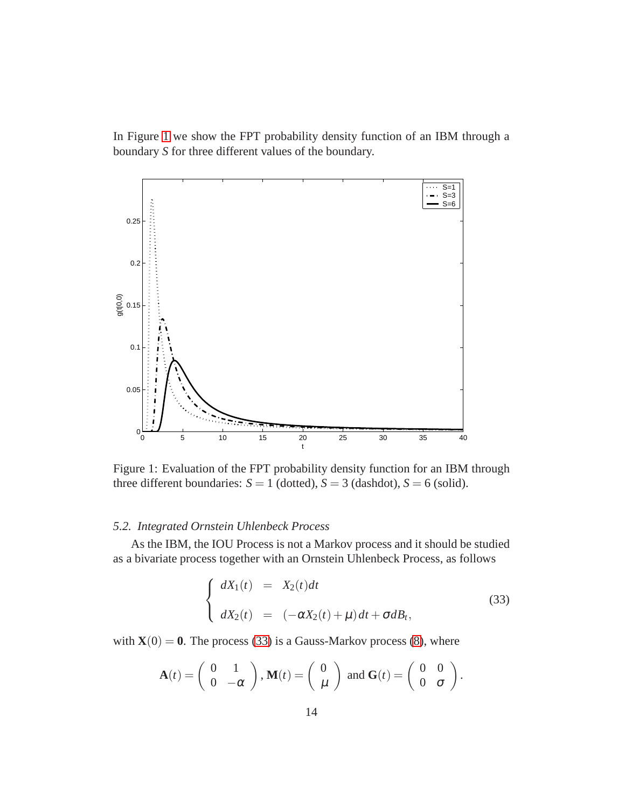In Figure [1](#page-13-0) we show the FPT probability density function of an IBM through a boundary *S* for three different values of the boundary.

<span id="page-13-0"></span>

Figure 1: Evaluation of the FPT probability density function for an IBM through three different boundaries:  $S = 1$  (dotted),  $S = 3$  (dashdot),  $S = 6$  (solid).

## *5.2. Integrated Ornstein Uhlenbeck Process*

As the IBM, the IOU Process is not a Markov process and it should be studied as a bivariate process together with an Ornstein Uhlenbeck Process, as follows

<span id="page-13-1"></span>
$$
\begin{cases}\n dX_1(t) = X_2(t)dt \\
dX_2(t) = (-\alpha X_2(t) + \mu)dt + \sigma dB_t,\n\end{cases}
$$
\n(33)

with  $\mathbf{X}(0) = \mathbf{0}$ . The process [\(33\)](#page-13-1) is a Gauss-Markov process [\(8\)](#page-3-0), where

$$
\mathbf{A}(t) = \begin{pmatrix} 0 & 1 \\ 0 & -\alpha \end{pmatrix}, \mathbf{M}(t) = \begin{pmatrix} 0 \\ \mu \end{pmatrix} \text{ and } \mathbf{G}(t) = \begin{pmatrix} 0 & 0 \\ 0 & \sigma \end{pmatrix}.
$$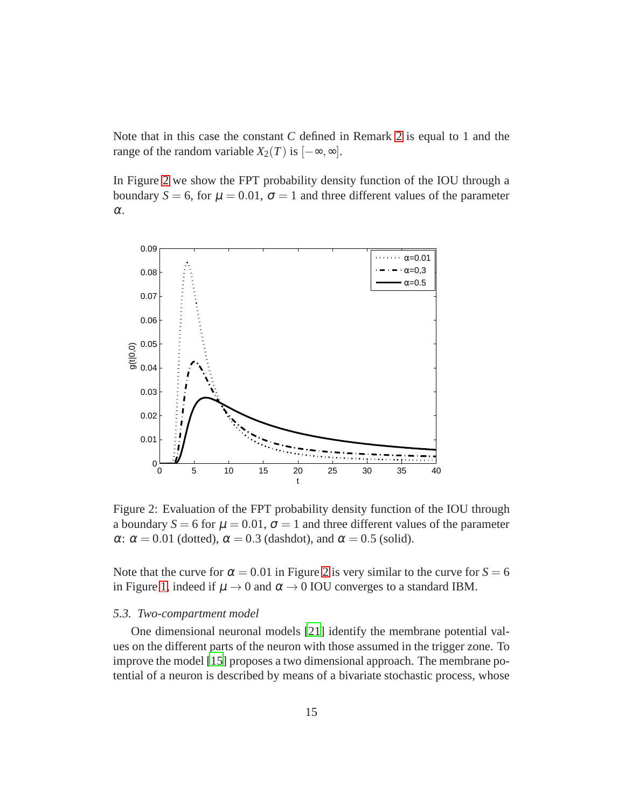Note that in this case the constant *C* defined in Remark [2](#page-6-1) is equal to 1 and the range of the random variable  $X_2(T)$  is  $[-\infty, \infty]$ .

In Figure [2](#page-14-0) we show the FPT probability density function of the IOU through a boundary  $S = 6$ , for  $\mu = 0.01$ ,  $\sigma = 1$  and three different values of the parameter α.

<span id="page-14-0"></span>

Figure 2: Evaluation of the FPT probability density function of the IOU through a boundary  $S = 6$  for  $\mu = 0.01$ ,  $\sigma = 1$  and three different values of the parameter  $\alpha$ :  $\alpha$  = 0.01 (dotted),  $\alpha$  = 0.3 (dashdot), and  $\alpha$  = 0.5 (solid).

Note that the curve for  $\alpha = 0.01$  in Figure [2](#page-14-0) is very similar to the curve for  $S = 6$ in Figure [1,](#page-13-0) indeed if  $\mu \rightarrow 0$  and  $\alpha \rightarrow 0$  IOU converges to a standard IBM.

#### *5.3. Two-compartment model*

One dimensional neuronal models [\[21](#page-21-1)] identify the membrane potential values on the different parts of the neuron with those assumed in the trigger zone. To improve the model [\[15](#page-20-7)] proposes a two dimensional approach. The membrane potential of a neuron is described by means of a bivariate stochastic process, whose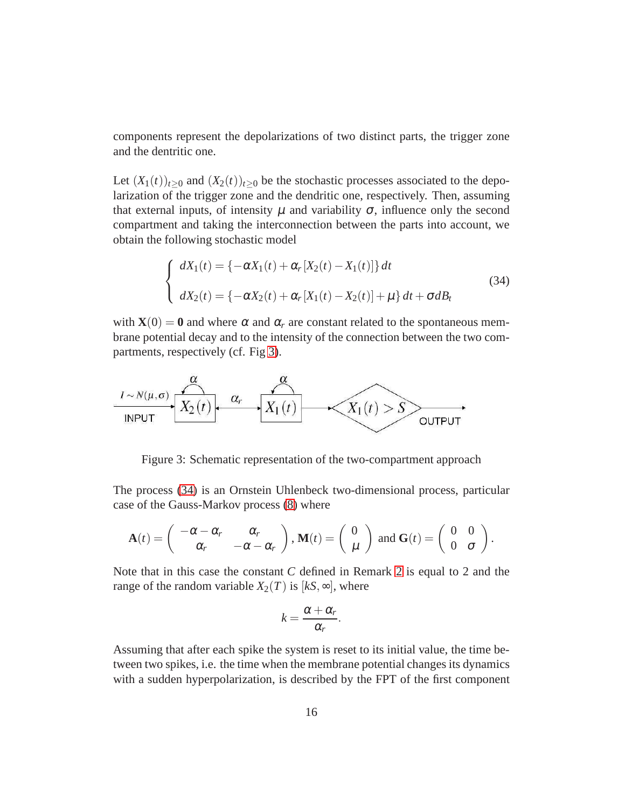components represent the depolarizations of two distinct parts, the trigger zone and the dentritic one.

Let  $(X_1(t))_{t>0}$  and  $(X_2(t))_{t>0}$  be the stochastic processes associated to the depolarization of the trigger zone and the dendritic one, respectively. Then, assuming that external inputs, of intensity  $\mu$  and variability  $\sigma$ , influence only the second compartment and taking the interconnection between the parts into account, we obtain the following stochastic model

<span id="page-15-1"></span>
$$
\begin{cases}\n dX_1(t) = \{-\alpha X_1(t) + \alpha_r [X_2(t) - X_1(t)]\} dt \\
dX_2(t) = \{-\alpha X_2(t) + \alpha_r [X_1(t) - X_2(t)] + \mu\} dt + \sigma dB_t\n\end{cases}
$$
\n(34)

with  $\mathbf{X}(0) = \mathbf{0}$  and where  $\alpha$  and  $\alpha_r$  are constant related to the spontaneous membrane potential decay and to the intensity of the connection between the two compartments, respectively (cf. Fig [3\)](#page-15-0).

<span id="page-15-0"></span>

Figure 3: Schematic representation of the two-compartment approach

The process [\(34\)](#page-15-1) is an Ornstein Uhlenbeck two-dimensional process, particular case of the Gauss-Markov process [\(8\)](#page-3-0) where

$$
\mathbf{A}(t) = \begin{pmatrix} -\alpha - \alpha_r & \alpha_r \\ \alpha_r & -\alpha - \alpha_r \end{pmatrix}, \mathbf{M}(t) = \begin{pmatrix} 0 \\ \mu \end{pmatrix} \text{ and } \mathbf{G}(t) = \begin{pmatrix} 0 & 0 \\ 0 & \sigma \end{pmatrix}.
$$

Note that in this case the constant *C* defined in Remark [2](#page-6-1) is equal to 2 and the range of the random variable  $X_2(T)$  is  $[kS, \infty]$ , where

$$
k=\frac{\alpha+\alpha_r}{\alpha_r}.
$$

Assuming that after each spike the system is reset to its initial value, the time between two spikes, i.e. the time when the membrane potential changes its dynamics with a sudden hyperpolarization, is described by the FPT of the first component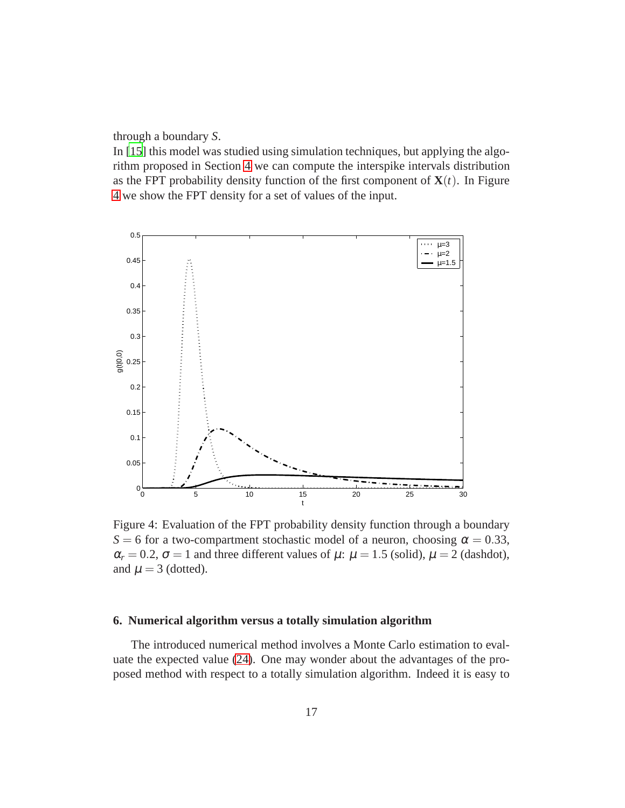through a boundary *S*.

In [\[15](#page-20-7)] this model was studied using simulation techniques, but applying the algorithm proposed in Section [4](#page-7-2) we can compute the interspike intervals distribution as the FPT probability density function of the first component of  $X(t)$ . In Figure [4](#page-16-0) we show the FPT density for a set of values of the input.

<span id="page-16-0"></span>

Figure 4: Evaluation of the FPT probability density function through a boundary *S* = 6 for a two-compartment stochastic model of a neuron, choosing  $\alpha$  = 0.33,  $\alpha_r = 0.2$ ,  $\sigma = 1$  and three different values of  $\mu$ :  $\mu = 1.5$  (solid),  $\mu = 2$  (dashdot), and  $\mu = 3$  (dotted).

## **6. Numerical algorithm versus a totally simulation algorithm**

The introduced numerical method involves a Monte Carlo estimation to evaluate the expected value [\(24\)](#page-8-0). One may wonder about the advantages of the proposed method with respect to a totally simulation algorithm. Indeed it is easy to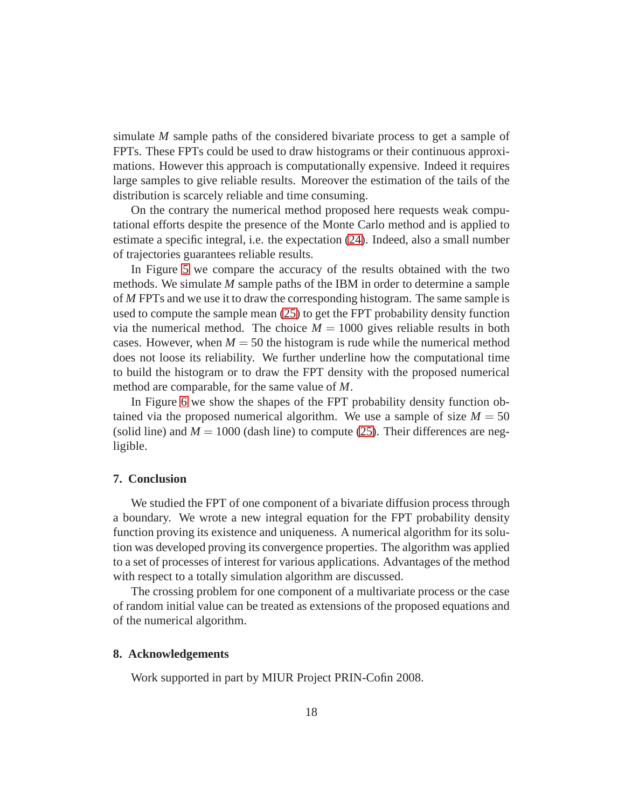simulate *M* sample paths of the considered bivariate process to get a sample of FPTs. These FPTs could be used to draw histograms or their continuous approximations. However this approach is computationally expensive. Indeed it requires large samples to give reliable results. Moreover the estimation of the tails of the distribution is scarcely reliable and time consuming.

On the contrary the numerical method proposed here requests weak computational efforts despite the presence of the Monte Carlo method and is applied to estimate a specific integral, i.e. the expectation [\(24\)](#page-8-0). Indeed, also a small number of trajectories guarantees reliable results.

In Figure [5](#page-18-0) we compare the accuracy of the results obtained with the two methods. We simulate *M* sample paths of the IBM in order to determine a sample of *M* FPTs and we use it to draw the corresponding histogram. The same sample is used to compute the sample mean [\(25\)](#page-9-3) to get the FPT probability density function via the numerical method. The choice  $M = 1000$  gives reliable results in both cases. However, when  $M = 50$  the histogram is rude while the numerical method does not loose its reliability. We further underline how the computational time to build the histogram or to draw the FPT density with the proposed numerical method are comparable, for the same value of *M*.

In Figure [6](#page-19-5) we show the shapes of the FPT probability density function obtained via the proposed numerical algorithm. We use a sample of size  $M = 50$ (solid line) and  $M = 1000$  (dash line) to compute [\(25\)](#page-9-3). Their differences are negligible.

## **7. Conclusion**

We studied the FPT of one component of a bivariate diffusion process through a boundary. We wrote a new integral equation for the FPT probability density function proving its existence and uniqueness. A numerical algorithm for its solution was developed proving its convergence properties. The algorithm was applied to a set of processes of interest for various applications. Advantages of the method with respect to a totally simulation algorithm are discussed.

The crossing problem for one component of a multivariate process or the case of random initial value can be treated as extensions of the proposed equations and of the numerical algorithm.

#### **8. Acknowledgements**

Work supported in part by MIUR Project PRIN-Cofin 2008.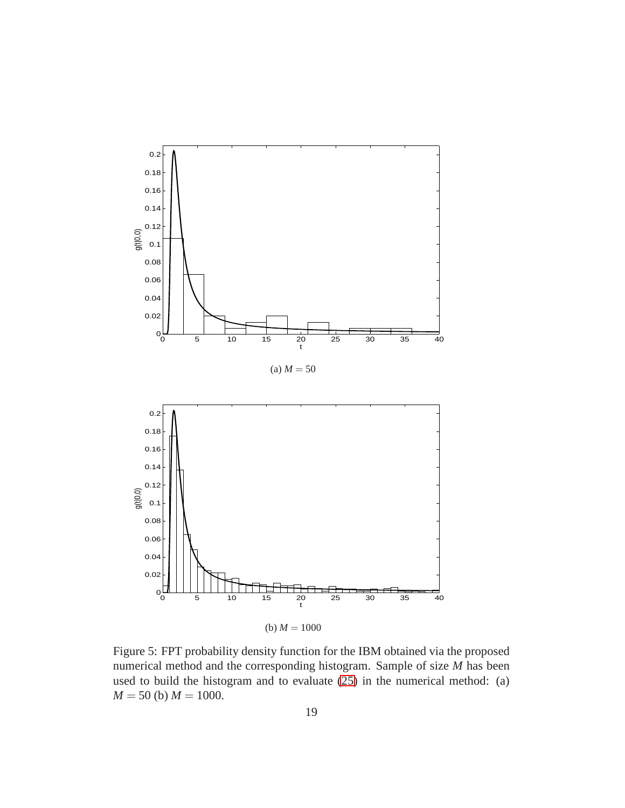<span id="page-18-0"></span>

Figure 5: FPT probability density function for the IBM obtained via the proposed numerical method and the corresponding histogram. Sample of size *M* has been used to build the histogram and to evaluate [\(25\)](#page-9-3) in the numerical method: (a)  $M = 50$  (b)  $M = 1000$ .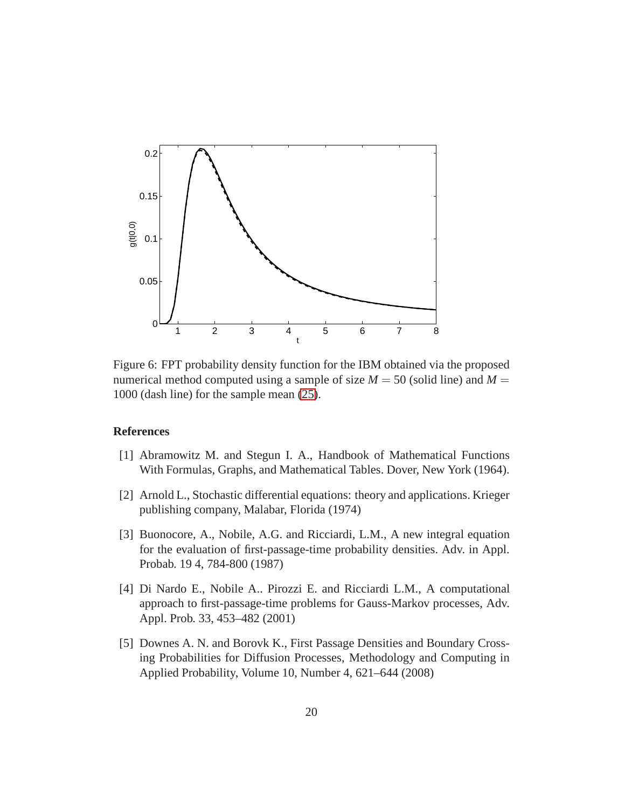<span id="page-19-5"></span>

Figure 6: FPT probability density function for the IBM obtained via the proposed numerical method computed using a sample of size  $M = 50$  (solid line) and  $M =$ 1000 (dash line) for the sample mean [\(25\)](#page-9-3).

## **References**

- <span id="page-19-4"></span>[1] Abramowitz M. and Stegun I. A., Handbook of Mathematical Functions With Formulas, Graphs, and Mathematical Tables. Dover, New York (1964).
- <span id="page-19-3"></span>[2] Arnold L., Stochastic differential equations: theory and applications. Krieger publishing company, Malabar, Florida (1974)
- <span id="page-19-0"></span>[3] Buonocore, A., Nobile, A.G. and Ricciardi, L.M., A new integral equation for the evaluation of first-passage-time probability densities. Adv. in Appl. Probab. 19 4, 784-800 (1987)
- <span id="page-19-1"></span>[4] Di Nardo E., Nobile A.. Pirozzi E. and Ricciardi L.M., A computational approach to first-passage-time problems for Gauss-Markov processes, Adv. Appl. Prob. 33, 453–482 (2001)
- <span id="page-19-2"></span>[5] Downes A. N. and Borovk K., First Passage Densities and Boundary Crossing Probabilities for Diffusion Processes, Methodology and Computing in Applied Probability, Volume 10, Number 4, 621–644 (2008)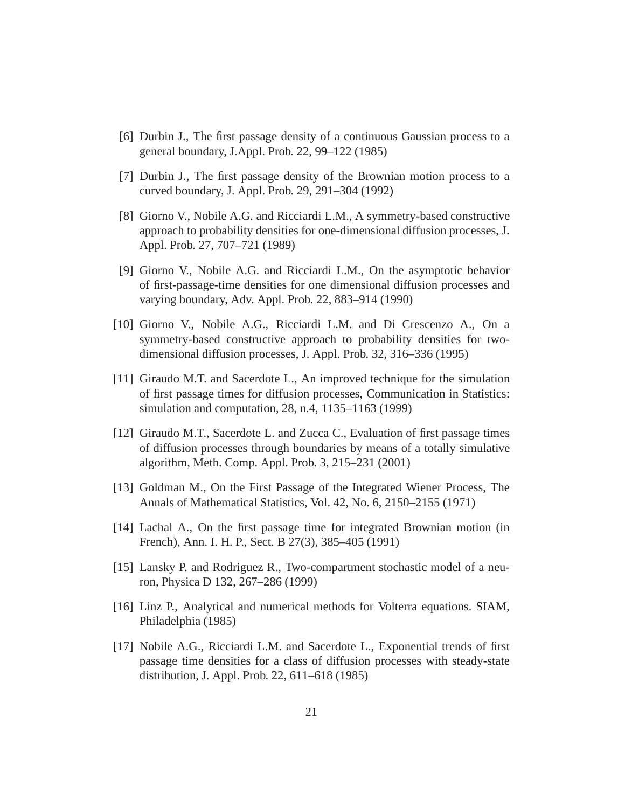- <span id="page-20-3"></span>[6] Durbin J., The first passage density of a continuous Gaussian process to a general boundary, J.Appl. Prob. 22, 99–122 (1985)
- <span id="page-20-4"></span>[7] Durbin J., The first passage density of the Brownian motion process to a curved boundary, J. Appl. Prob. 29, 291–304 (1992)
- <span id="page-20-0"></span>[8] Giorno V., Nobile A.G. and Ricciardi L.M., A symmetry-based constructive approach to probability densities for one-dimensional diffusion processes, J. Appl. Prob. 27, 707–721 (1989)
- <span id="page-20-1"></span>[9] Giorno V., Nobile A.G. and Ricciardi L.M., On the asymptotic behavior of first-passage-time densities for one dimensional diffusion processes and varying boundary, Adv. Appl. Prob. 22, 883–914 (1990)
- <span id="page-20-5"></span>[10] Giorno V., Nobile A.G., Ricciardi L.M. and Di Crescenzo A., On a symmetry-based constructive approach to probability densities for twodimensional diffusion processes, J. Appl. Prob. 32, 316–336 (1995)
- [11] Giraudo M.T. and Sacerdote L., An improved technique for the simulation of first passage times for diffusion processes, Communication in Statistics: simulation and computation, 28, n.4, 1135–1163 (1999)
- [12] Giraudo M.T., Sacerdote L. and Zucca C., Evaluation of first passage times of diffusion processes through boundaries by means of a totally simulative algorithm, Meth. Comp. Appl. Prob. 3, 215–231 (2001)
- <span id="page-20-9"></span>[13] Goldman M., On the First Passage of the Integrated Wiener Process, The Annals of Mathematical Statistics, Vol. 42, No. 6, 2150–2155 (1971)
- <span id="page-20-6"></span>[14] Lachal A., On the first passage time for integrated Brownian motion (in French), Ann. I. H. P., Sect. B 27(3), 385–405 (1991)
- <span id="page-20-7"></span>[15] Lansky P. and Rodriguez R., Two-compartment stochastic model of a neuron, Physica D 132, 267–286 (1999)
- <span id="page-20-8"></span>[16] Linz P., Analytical and numerical methods for Volterra equations. SIAM, Philadelphia (1985)
- <span id="page-20-2"></span>[17] Nobile A.G., Ricciardi L.M. and Sacerdote L., Exponential trends of first passage time densities for a class of diffusion processes with steady-state distribution, J. Appl. Prob. 22, 611–618 (1985)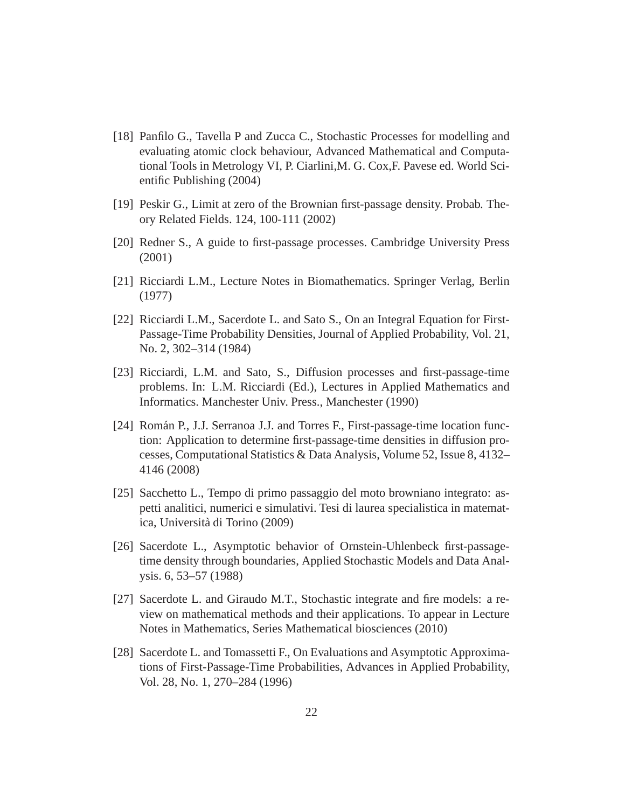- <span id="page-21-9"></span>[18] Panfilo G., Tavella P and Zucca C., Stochastic Processes for modelling and evaluating atomic clock behaviour, Advanced Mathematical and Computational Tools in Metrology VI, P. Ciarlini,M. G. Cox,F. Pavese ed. World Scientific Publishing (2004)
- <span id="page-21-3"></span>[19] Peskir G., Limit at zero of the Brownian first-passage density. Probab. Theory Related Fields. 124, 100-111 (2002)
- <span id="page-21-0"></span>[20] Redner S., A guide to first-passage processes. Cambridge University Press (2001)
- <span id="page-21-1"></span>[21] Ricciardi L.M., Lecture Notes in Biomathematics. Springer Verlag, Berlin (1977)
- <span id="page-21-4"></span>[22] Ricciardi L.M., Sacerdote L. and Sato S., On an Integral Equation for First-Passage-Time Probability Densities, Journal of Applied Probability, Vol. 21, No. 2, 302–314 (1984)
- <span id="page-21-6"></span>[23] Ricciardi, L.M. and Sato, S., Diffusion processes and first-passage-time problems. In: L.M. Ricciardi (Ed.), Lectures in Applied Mathematics and Informatics. Manchester Univ. Press., Manchester (1990)
- <span id="page-21-7"></span>[24] Román P., J.J. Serranoa J.J. and Torres F., First-passage-time location function: Application to determine first-passage-time densities in diffusion processes, Computational Statistics & Data Analysis, Volume 52, Issue 8, 4132– 4146 (2008)
- <span id="page-21-10"></span>[25] Sacchetto L., Tempo di primo passaggio del moto browniano integrato: aspetti analitici, numerici e simulativi. Tesi di laurea specialistica in matematica, Università di Torino (2009)
- <span id="page-21-5"></span>[26] Sacerdote L., Asymptotic behavior of Ornstein-Uhlenbeck first-passagetime density through boundaries, Applied Stochastic Models and Data Analysis. 6, 53–57 (1988)
- <span id="page-21-2"></span>[27] Sacerdote L. and Giraudo M.T., Stochastic integrate and fire models: a review on mathematical methods and their applications. To appear in Lecture Notes in Mathematics, Series Mathematical biosciences (2010)
- <span id="page-21-8"></span>[28] Sacerdote L. and Tomassetti F., On Evaluations and Asymptotic Approximations of First-Passage-Time Probabilities, Advances in Applied Probability, Vol. 28, No. 1, 270–284 (1996)